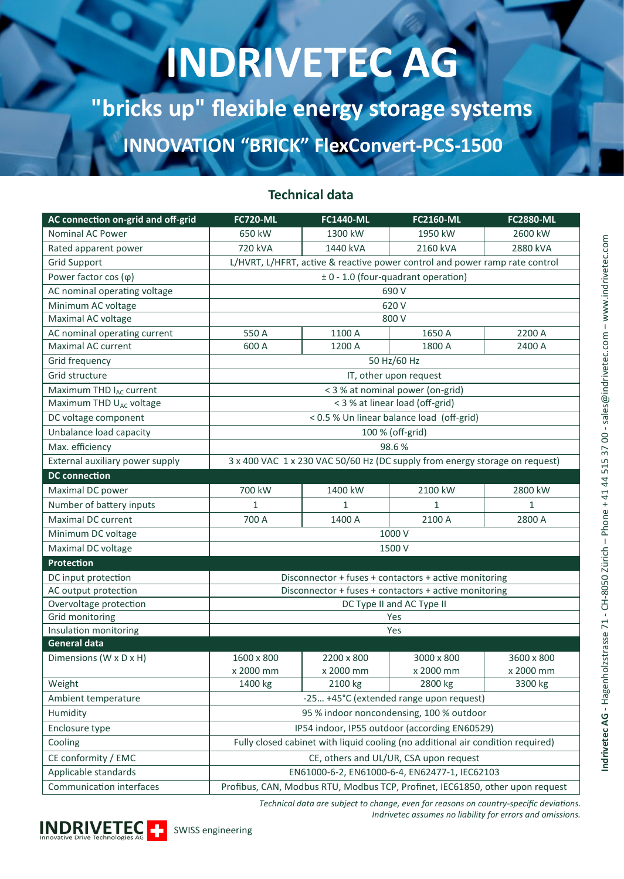# **INDRIVETEC AG**

**"bricks up" flexible energy storage systems INNOVATION "BRICK" FlexConvert-PCS-1500**

### **Technical data**

| AC connection on-grid and off-grid  | <b>FC720-ML</b>                                                                 | <b>FC1440-ML</b> | <b>FC2160-ML</b>     | <b>FC2880-ML</b> |  |  |  |  |
|-------------------------------------|---------------------------------------------------------------------------------|------------------|----------------------|------------------|--|--|--|--|
| <b>Nominal AC Power</b>             | 650 kW                                                                          | 1300 kW          | 1950 kW              | 2600 kW          |  |  |  |  |
| Rated apparent power                | 720 kVA                                                                         | 1440 kVA         | 2160 kVA<br>2880 kVA |                  |  |  |  |  |
| <b>Grid Support</b>                 | L/HVRT, L/HFRT, active & reactive power control and power ramp rate control     |                  |                      |                  |  |  |  |  |
| Power factor $cos(\varphi)$         | ± 0 - 1.0 (four-quadrant operation)                                             |                  |                      |                  |  |  |  |  |
| AC nominal operating voltage        | 690 V                                                                           |                  |                      |                  |  |  |  |  |
| Minimum AC voltage                  | 620 V                                                                           |                  |                      |                  |  |  |  |  |
| Maximal AC voltage                  | 800 V                                                                           |                  |                      |                  |  |  |  |  |
| AC nominal operating current        | 550 A                                                                           | 1100 A           | 1650 A               | 2200 A           |  |  |  |  |
| Maximal AC current                  | 600 A                                                                           | 1200 A           | 1800 A               | 2400 A           |  |  |  |  |
| Grid frequency                      | 50 Hz/60 Hz                                                                     |                  |                      |                  |  |  |  |  |
| Grid structure                      | IT, other upon request                                                          |                  |                      |                  |  |  |  |  |
| Maximum THD I <sub>AC</sub> current | < 3 % at nominal power (on-grid)                                                |                  |                      |                  |  |  |  |  |
| Maximum THD U <sub>AC</sub> voltage | < 3 % at linear load (off-grid)                                                 |                  |                      |                  |  |  |  |  |
| DC voltage component                | < 0.5 % Un linear balance load (off-grid)                                       |                  |                      |                  |  |  |  |  |
| Unbalance load capacity             | 100 % (off-grid)                                                                |                  |                      |                  |  |  |  |  |
| Max. efficiency                     | 98.6%                                                                           |                  |                      |                  |  |  |  |  |
| External auxiliary power supply     | 3 x 400 VAC 1 x 230 VAC 50/60 Hz (DC supply from energy storage on request)     |                  |                      |                  |  |  |  |  |
| <b>DC</b> connection                |                                                                                 |                  |                      |                  |  |  |  |  |
| Maximal DC power                    | 700 kW                                                                          | 1400 kW          | 2100 kW              | 2800 kW          |  |  |  |  |
| Number of battery inputs            | $\mathbf{1}$                                                                    | 1                | $\mathbf{1}$         | $\mathbf{1}$     |  |  |  |  |
| Maximal DC current                  | 700 A                                                                           | 1400 A           | 2100 A               | 2800 A           |  |  |  |  |
| Minimum DC voltage                  | 1000 V                                                                          |                  |                      |                  |  |  |  |  |
| Maximal DC voltage                  | 1500 V                                                                          |                  |                      |                  |  |  |  |  |
| Protection                          |                                                                                 |                  |                      |                  |  |  |  |  |
| DC input protection                 | Disconnector + fuses + contactors + active monitoring                           |                  |                      |                  |  |  |  |  |
| AC output protection                | Disconnector + fuses + contactors + active monitoring                           |                  |                      |                  |  |  |  |  |
| Overvoltage protection              | DC Type II and AC Type II                                                       |                  |                      |                  |  |  |  |  |
| Grid monitoring                     | Yes                                                                             |                  |                      |                  |  |  |  |  |
| Insulation monitoring               | Yes                                                                             |                  |                      |                  |  |  |  |  |
| <b>General data</b>                 |                                                                                 |                  |                      |                  |  |  |  |  |
| Dimensions (W x D x H)              | 1600 x 800                                                                      | 2200 x 800       | 3000 x 800           | 3600 x 800       |  |  |  |  |
|                                     | x 2000 mm                                                                       | x 2000 mm        | x 2000 mm            | x 2000 mm        |  |  |  |  |
| Weight                              | 1400 kg                                                                         | 2100 kg          | 2800 kg              | 3300 kg          |  |  |  |  |
| Ambient temperature                 | -25 +45°C (extended range upon request)                                         |                  |                      |                  |  |  |  |  |
| Humidity                            | 95 % indoor noncondensing, 100 % outdoor                                        |                  |                      |                  |  |  |  |  |
| Enclosure type                      | IP54 indoor, IP55 outdoor (according EN60529)                                   |                  |                      |                  |  |  |  |  |
| Cooling                             | Fully closed cabinet with liquid cooling (no additional air condition required) |                  |                      |                  |  |  |  |  |
| CE conformity / EMC                 | CE, others and UL/UR, CSA upon request                                          |                  |                      |                  |  |  |  |  |
| Applicable standards                | EN61000-6-2, EN61000-6-4, EN62477-1, IEC62103                                   |                  |                      |                  |  |  |  |  |
| Communication interfaces            | Profibus, CAN, Modbus RTU, Modbus TCP, Profinet, IEC61850, other upon request   |                  |                      |                  |  |  |  |  |

*Technical data are subject to change, even for reasons on country-specific deviations. Indrivetec assumes no liability for errors and omissions.*



ndrivetec AG - Hagenholzstrasse 71 - CH-8050 Zürich - Phone + 41 44 515 37 00 - sales@indrivetec.com - www.indrivetec.com – www.indrivetec.com – Phone + 41 44 515 37 00 - sales@indrivetec.com **Indrivetec AG** - Hagenholzstrasse 71 - CH-8050 Zürich